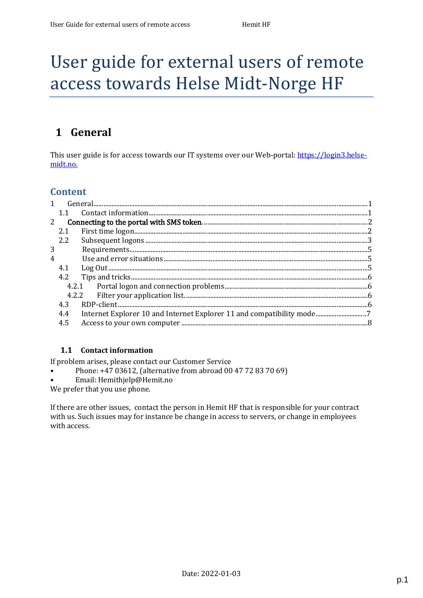# User guide for external users of remote access towards Helse Midt-Norge HF

# <span id="page-0-0"></span>**1 General**

This user guide is for access towards our IT systems over our Web-portal: [https://login3.helse](https://login3.helse-midt.no/)[midt.no.](https://login3.helse-midt.no/)

### **Content**

| $\mathbf{1}$ |     |                                                                       |  |
|--------------|-----|-----------------------------------------------------------------------|--|
|              | 1.1 |                                                                       |  |
| 2            |     |                                                                       |  |
|              | 2.1 |                                                                       |  |
|              | 2.2 |                                                                       |  |
| 3            |     |                                                                       |  |
| 4            |     |                                                                       |  |
|              | 4.1 |                                                                       |  |
|              | 4.2 |                                                                       |  |
|              |     |                                                                       |  |
|              |     |                                                                       |  |
|              | 4.3 |                                                                       |  |
|              | 4.4 | Internet Explorer 10 and Internet Explorer 11 and compatibility mode7 |  |
|              | 4.5 |                                                                       |  |
|              |     |                                                                       |  |

### **1.1 [Contact information](#page-4-1)**

If [problem arises, please contact our Customer Service](#page-4-2)

- Phone: +47 03612, [\(alternative from abroad](#page-5-0) 00 47 72 83 70 69)
- Email: [Hemithjelp@Hemit.no](#page-5-1)

We prefer that [you use phone.](#page-5-2)

<span id="page-0-1"></span>If [there are other issues, contact the person in](#page-7-0) Hemit HF that is responsible for your contract with us. Such issues may for instance be change in access to servers, or change in employees with access.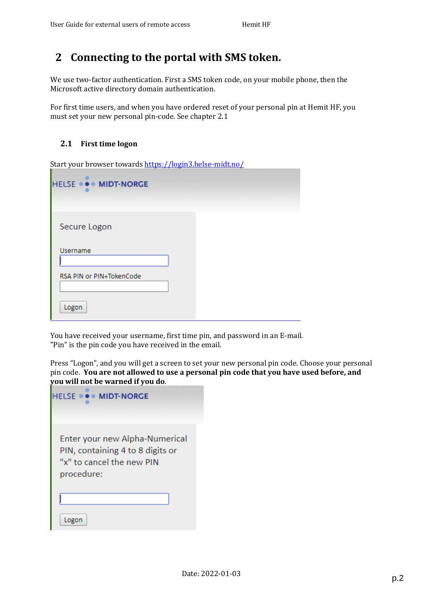## <span id="page-1-0"></span>**2 Connecting to the portal with SMS token.**

We use two-factor authentication. First a SMS token code, on your mobile phone, then the Microsoft active directory domain authentication.

For first time users, and when you have ordered reset of your personal pin at Hemit HF, you must set your new personal pin-code. See chapter 2.1

#### <span id="page-1-1"></span>**2.1 First time logon**

Start your browser towards <https://login3.helse-midt.no/>

| HELSE  MIDT-NORGE        |  |
|--------------------------|--|
| Secure Logon             |  |
| <b>Username</b>          |  |
| RSA PIN or PIN+TokenCode |  |
| Logon                    |  |

You have received your username, first time pin, and password in an E-mail. "Pin" is the pin code you have received in the email.

Press "Logon", and you will get a screen to set your new personal pin code. Choose your personal pin code. **You are not allowed to use a personal pin code that you have used before, and you will not be warned if you do**.

| <b>HELSE  MIDT-NORGE</b>                                                                                      |  |
|---------------------------------------------------------------------------------------------------------------|--|
| Enter your new Alpha-Numerical<br>PIN, containing 4 to 8 digits or<br>"x" to cancel the new PIN<br>procedure: |  |
| Logon                                                                                                         |  |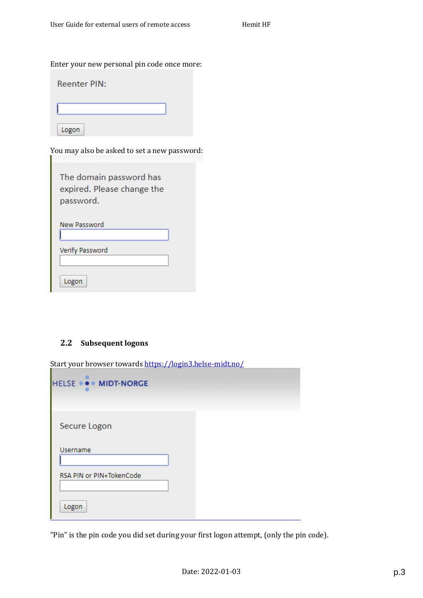Enter your new personal pin code once more:

| <b>Reenter PIN:</b> |  |  |  |
|---------------------|--|--|--|
|                     |  |  |  |
| Logon               |  |  |  |

You may also be asked to set a new password:

| The domain password has<br>expired. Please change the<br>password. |  |
|--------------------------------------------------------------------|--|
| New Password                                                       |  |
| Verify Password                                                    |  |
| Logon                                                              |  |

### <span id="page-2-0"></span>**2.2 Subsequent logons**

Start your browser towards <https://login3.helse-midt.no/>

| HELSE  MIDT-NORGE        |  |
|--------------------------|--|
| Secure Logon             |  |
| <b>Username</b>          |  |
| RSA PIN or PIN+TokenCode |  |
| Logon                    |  |

"Pin" is the pin code you did set during your first logon attempt, (only the pin code).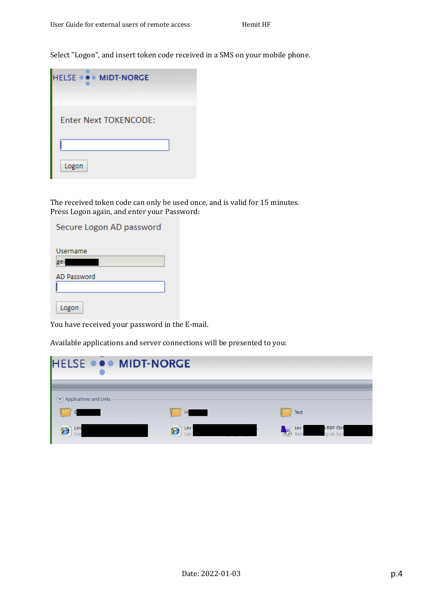Select "Logon", and insert token code received in a SMS on your mobile phone.

| <b>HELSE  MIDT-NORGE</b>     |  |
|------------------------------|--|
| <b>Enter Next TOKENCODE:</b> |  |
|                              |  |
| Logon                        |  |

The received token code can only be used once, and is valid for 15 minutes. Press Logon again, and enter your Password:

| Secure Logon AD password |  |
|--------------------------|--|
| Username<br>gei          |  |
| <b>AD Password</b>       |  |
|                          |  |
| Logon                    |  |

You have received your password in the E-mail.

Available applications and server connections will be presented to you:

| HELSE  MIDT-NORGE      |           |                                          |  |
|------------------------|-----------|------------------------------------------|--|
| Applications and Links | н         | Test                                     |  |
| Lev<br>Q1              | Lev<br>E, | <b>RDP FSH</b><br>Lev<br><b>M</b> An Ser |  |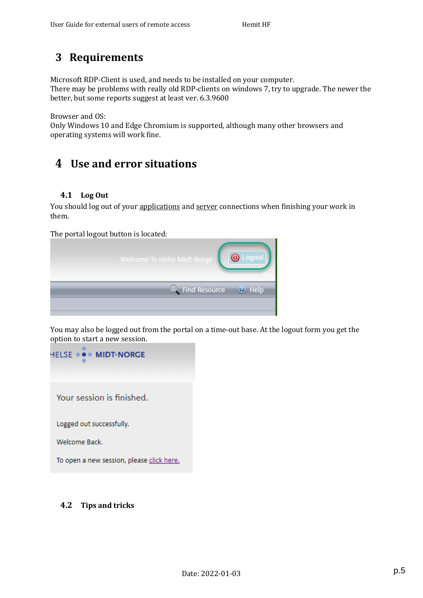# **3 Requirements**

Microsoft RDP-Client is used, and needs to be installed on your computer.

There may be problems with really old RDP-clients on windows 7, try to upgrade. The newer the better, but some reports suggest at least ver. 6.3.9600

Browser and OS:

Only Windows 10 and Edge Chromium is supported, although many other browsers and operating systems will work fine.

# <span id="page-4-0"></span>**4 Use and error situations**

### <span id="page-4-1"></span>**4.1 Log Out**

You should log out of your applications and server connections when finishing your work in them.

The portal logout button is located:

| Welcome To Helse Midt-Norge |               |
|-----------------------------|---------------|
| Find Resource               | <b>3</b> Help |

You may also be logged out from the portal on a time-out base. At the logout form you get the option to start a new session.



### <span id="page-4-2"></span>**Tips and tricks 4.2**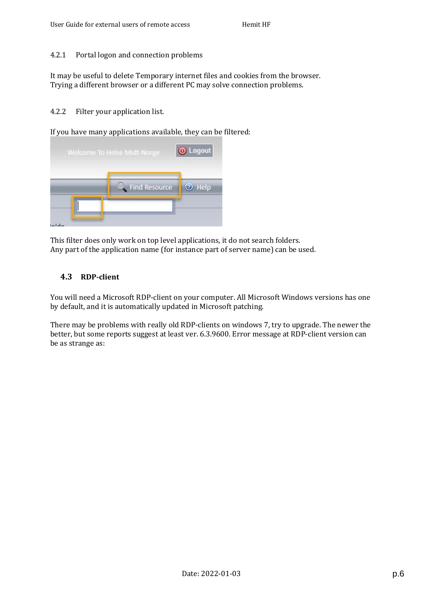#### <span id="page-5-0"></span>4.2.1 Portal logon and connection problems

It may be useful to delete Temporary internet files and cookies from the browser. Trying a different browser or a different PC may solve connection problems.

#### <span id="page-5-1"></span>4.2.2 Filter your application list.

If you have many applications available, they can be filtered:

|   | Welcome To Helse Midt-Norge | O Logout      |
|---|-----------------------------|---------------|
|   | Find Resource               | <b>2</b> Help |
| n |                             |               |

This filter does only work on top level applications, it do not search folders. Any part of the application name (for instance part of server name) can be used.

### <span id="page-5-2"></span>**4.3 RDP-client**

You will need a Microsoft RDP-client on your computer. All Microsoft Windows versions has one by default, and it is automatically updated in Microsoft patching.

There may be problems with really old RDP-clients on windows 7, try to upgrade. The newer the better, but some reports suggest at least ver. 6.3.9600. Error message at RDP-client version can be as strange as: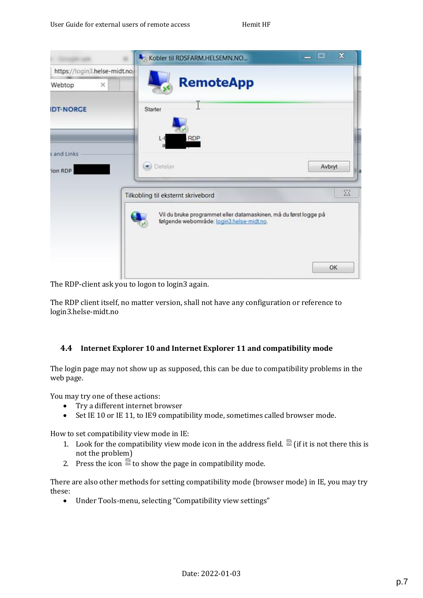|                               | $\mathbf x$<br>- - -<br>Kobler til RDSFARM.HELSEMN.NO                                                               |
|-------------------------------|---------------------------------------------------------------------------------------------------------------------|
| https://login3.helse-midt.no/ |                                                                                                                     |
| ×<br>Webtop                   | <b>RemoteApp</b>                                                                                                    |
| <b>IDT-NORGE</b>              | T<br>Starter                                                                                                        |
| s and Links<br>ion RDP        | <b>RDP</b><br>$L - C$<br>Detaljer<br>Avbryt<br>lla                                                                  |
|                               | $\boxtimes$<br>Tilkobling til eksternt skrivebord                                                                   |
|                               | Vil du bruke programmet eller datamaskinen, må du først logge på<br>følgende webområde: login3 helse-midt no.<br>OK |

The RDP-client ask you to logon to login3 again.

The RDP client itself, no matter version, shall not have any configuration or reference to login3.helse-midt.no

### <span id="page-6-0"></span>**4.4 Internet Explorer 10 and Internet Explorer 11 and compatibility mode**

The login page may not show up as supposed, this can be due to compatibility problems in the web page.

You may try one of these actions:

- Try a different internet browser
- Set IE 10 or IE 11, to IE9 compatibility mode, sometimes called browser mode.

How to set compatibility view mode in IE:

- 1. Look for the compatibility view mode icon in the address field.  $\mathbb{E}$  (if it is not there this is not the problem)
- 2. Press the icon  $\sum_{n=1}^{\infty}$  to show the page in compatibility mode.

There are also other methods for setting compatibility mode (browser mode) in IE, you may try these:

Under Tools-menu, selecting "Compatibility view settings"